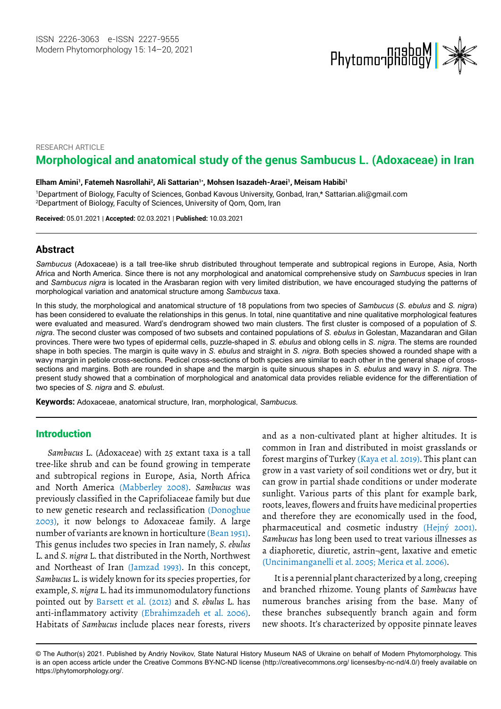

RESEARCH ARTICLE

# **Morphological and anatomical study of the genus Sambucus L. (Adoxaceae) in Iran**

#### Elham Amini', Fatemeh Nasrollahi<sup>2</sup>, Ali Sattarian'\*, Mohsen Isazadeh-Araei', Meisam Habibi'

1 Department of Biology, Faculty of Sciences, Gonbad Kavous University, Gonbad, Iran,\* Sattarian.ali@gmail.com 2Department of Biology, Faculty of Sciences, University of Qom, Qom, Iran

**Received:** 05.01.2021 | **Accepted:** 02.03.2021 | **Published:** 10.03.2021

### **Abstract**

*Sambucus* (Adoxaceae) is a tall tree-like shrub distributed throughout temperate and subtropical regions in Europe, Asia, North Africa and North America. Since there is not any morphological and anatomical comprehensive study on *Sambucus* species in Iran and *Sambucus nigra* is located in the Arasbaran region with very limited distribution, we have encouraged studying the patterns of morphological variation and anatomical structure among *Sambucus* taxa.

In this study, the morphological and anatomical structure of 18 populations from two species of *Sambucus* (*S. ebulus* and *S. nigra*) has been considered to evaluate the relationships in this genus. In total, nine quantitative and nine qualitative morphological features were evaluated and measured. Ward's dendrogram showed two main clusters. The first cluster is composed of a population of *S. nigra*. The second cluster was composed of two subsets and contained populations of *S. ebulus* in Golestan, Mazandaran and Gilan provinces. There were two types of epidermal cells, puzzle-shaped in *S. ebulus* and oblong cells in *S. nigra*. The stems are rounded shape in both species. The margin is quite wavy in *S. ebulus* and straight in *S. nigra*. Both species showed a rounded shape with a wavy margin in petiole cross-sections. Pedicel cross-sections of both species are similar to each other in the general shape of crosssections and margins. Both are rounded in shape and the margin is quite sinuous shapes in *S. ebulus* and wavy in *S. nigra*. The present study showed that a combination of morphological and anatomical data provides reliable evidence for the differentiation of two species of *S. nigra* and *S. ebulus*t.

**Keywords:** Adoxaceae, anatomical structure, Iran, morphological, *Sambucus.*

### Introduction

*Sambucus* L. (Adoxaceae) with 25 extant taxa is a tall tree-like shrub and can be found growing in temperate and subtropical regions in Europe, Asia, North Africa and North America (Mabberley 2008). *Sambucus* was previously classified in the Caprifoliaceae family but due to new genetic research and reclassification (Donoghue 2003), it now belongs to Adoxaceae family. A large number of variants are known in horticulture (Bean 1951). This genus includes two species in Iran namely, *S. ebulus* L. and *S. nigra* L. that distributed in the North, Northwest and Northeast of Iran (Jamzad 1993). In this concept, *Sambucus* L. is widely known for its species properties, for example, *S. nigra* L. had its immunomodulatory functions pointed out by Barsett et al. (2012) and *S. ebulus* L. has anti-inflammatory activity (Ebrahimzadeh et al. 2006). Habitats of *Sambucus* include places near forests, rivers

and as a non-cultivated plant at higher altitudes. It is common in Iran and distributed in moist grasslands or forest margins of Turkey (Kaya et al. 2019). This plant can grow in a vast variety of soil conditions wet or dry, but it can grow in partial shade conditions or under moderate sunlight. Various parts of this plant for example bark, roots, leaves, flowers and fruits have medicinal properties and therefore they are economically used in the food, pharmaceutical and cosmetic industry (Hejný 2001). *Sambucus* has long been used to treat various illnesses as a diaphoretic, diuretic, astrin¬gent, laxative and emetic (Uncinimanganelli et al. 2005; Merica et al. 2006).

It is a perennial plant characterized by a long, creeping and branched rhizome. Young plants of *Sambucus* have numerous branches arising from the base. Many of these branches subsequently branch again and form new shoots. It's characterized by opposite pinnate leaves

<sup>©</sup> The Author(s) 2021. Published by Andriy Novikov, State Natural History Museum NAS of Ukraine on behalf of Modern Phytomorphology. This is an open access article under the Creative Commons BY-NC-ND license (http://creativecommons.org/ licenses/by-nc-nd/4.0/) freely available on https://phytomorphology.org/.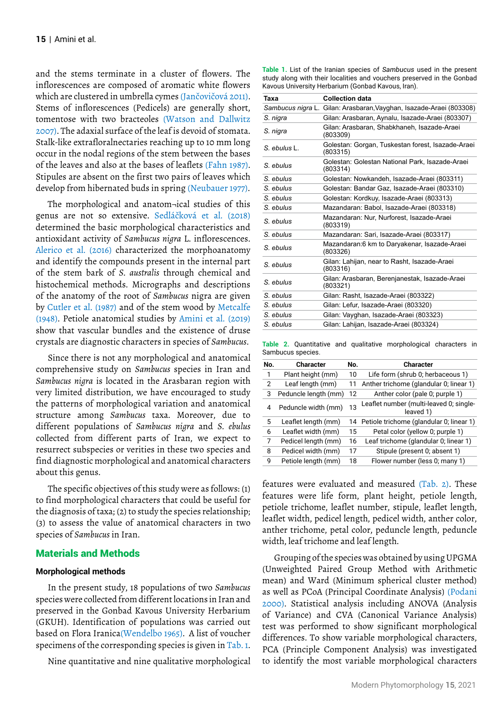and the stems terminate in a cluster of flowers. The inflorescences are composed of aromatic white flowers which are clustered in umbrella cymes (Jančovičová 2011). Stems of inflorescences (Pedicels) are generally short, tomentose with two bracteoles (Watson and Dallwitz 2007). The adaxial surface of the leaf is devoid of stomata. Stalk-like extrafloralnectaries reaching up to 10 mm long occur in the nodal regions of the stem between the bases of the leaves and also at the bases of leaflets (Fahn 1987). Stipules are absent on the first two pairs of leaves which develop from hibernated buds in spring (Neubauer 1977).

The morphological and anatom¬ical studies of this genus are not so extensive. Sedláčková et al. (2018) determined the basic morphological characteristics and antioxidant activity of *Sambucus nigra* L. inflorescences. Alerico et al. (2016) characterized the morphoanatomy and identify the compounds present in the internal part of the stem bark of *S. australis* through chemical and histochemical methods. Micrographs and descriptions of the anatomy of the root of *Sambucus* nigra are given by Cutler et al. (1987) and of the stem wood by Metcalfe (1948). Petiole anatomical studies by Amini et al. (2019) show that vascular bundles and the existence of druse crystals are diagnostic characters in species of *Sambucus*.

Since there is not any morphological and anatomical comprehensive study on *Sambucus* species in Iran and *Sambucus nigra* is located in the Arasbaran region with very limited distribution, we have encouraged to study the patterns of morphological variation and anatomical structure among *Sambucus* taxa. Moreover, due to different populations of *Sambucus nigra* and *S. ebulus* collected from different parts of Iran, we expect to resurrect subspecies or verities in these two species and find diagnostic morphological and anatomical characters about this genus.

The specific objectives of this study were as follows: (1) to find morphological characters that could be useful for the diagnosis of taxa; (2) to study the species relationship; (3) to assess the value of anatomical characters in two species of *Sambucus* in Iran.

## Materials and Methods

### **Morphological methods**

In the present study, 18 populations of two *Sambucus* species were collected from different locations in Iran and preserved in the Gonbad Kavous University Herbarium (GKUH). Identification of populations was carried out based on Flora Iranica(Wendelbo 1965). A list of voucher specimens of the corresponding species is given in Tab. 1.

Nine quantitative and nine qualitative morphological

**Table 1.** List of the Iranian species of *Sambucus* used in the present study along with their localities and vouchers preserved in the Gonbad Kavous University Herbarium (Gonbad Kavous, Iran).

| Taxa         | <b>Collection data</b>                                              |
|--------------|---------------------------------------------------------------------|
|              | Sambucus nigra L. Gilan: Arasbaran, Vayghan, Isazade-Araei (803308) |
| S. nigra     | Gilan: Arasbaran, Aynalu, Isazade-Araei (803307)                    |
| S. nigra     | Gilan: Arasbaran, Shabkhaneh, Isazade-Araei<br>(803309)             |
| S. ebulus L. | Golestan: Gorgan, Tuskestan forest, Isazade-Araei<br>(803315)       |
| S. ebulus    | Golestan: Golestan National Park, Isazade-Araei<br>(803314)         |
| S. ebulus    | Golestan: Nowkandeh, Isazade-Araei (803311)                         |
| S. ebulus    | Golestan: Bandar Gaz, Isazade-Araei (803310)                        |
| S. ebulus    | Golestan: Kordkuy, Isazade-Araei (803313)                           |
| S. ebulus    | Mazandaran: Babol, Isazade-Araei (803318)                           |
| S. ebulus    | Mazandaran: Nur, Nurforest, Isazade-Araei<br>(803319)               |
| S. ebulus    | Mazandaran: Sari, Isazade-Araei (803317)                            |
| S. ebulus    | Mazandaran:6 km to Daryakenar, Isazade-Araei<br>(803326)            |
| S ebulus     | Gilan: Lahijan, near to Rasht, Isazade-Araei<br>(803316)            |
| S. ebulus    | Gilan: Arasbaran, Berenjanestak, Isazade-Araei<br>(803321)          |
| S. ebulus    | Gilan: Rasht, Isazade-Araei (803322)                                |
| S. ebulus    | Gilan: Lefur, Isazade-Araei (803320)                                |
| S. ebulus    | Gilan: Vayghan, Isazade-Araei (803323)                              |
| S. ebulus    | Gilan: Lahijan, Isazade-Araei (803324)                              |
|              |                                                                     |

**Table 2.** Quantitative and qualitative morphological characters in Sambucus species.

| No. | <b>Character</b>     | No. | <b>Character</b>                                     |
|-----|----------------------|-----|------------------------------------------------------|
| 1   | Plant height (mm)    | 10  | Life form (shrub 0; herbaceous 1)                    |
| 2   | Leaf length (mm)     | 11  | Anther trichome (glandular 0; linear 1)              |
| 3   | Peduncle length (mm) | 12  | Anther color (pale 0; purple 1)                      |
| 4   | Peduncle width (mm)  | 13  | Leaflet number (multi-leaved 0; single-<br>leaved 1) |
| 5   | Leaflet length (mm)  | 14  | Petiole trichome (glandular 0; linear 1)             |
| 6   | Leaflet width (mm)   | 15  | Petal color (yellow 0; purple 1)                     |
| 7   | Pedicel length (mm)  | 16  | Leaf trichome (glandular 0; linear 1)                |
| 8   | Pedicel width (mm)   | 17  | Stipule (present 0; absent 1)                        |
| 9   | Petiole length (mm)  | 18  | Flower number (less 0; many 1)                       |

features were evaluated and measured (Tab. 2). These features were life form, plant height, petiole length, petiole trichome, leaflet number, stipule, leaflet length, leaflet width, pedicel length, pedicel width, anther color, anther trichome, petal color, peduncle length, peduncle width, leaf trichome and leaf length.

Grouping of the species was obtained by using UPGMA (Unweighted Paired Group Method with Arithmetic mean) and Ward (Minimum spherical cluster method) as well as PCoA (Principal Coordinate Analysis) (Podani 2000). Statistical analysis including ANOVA (Analysis of Variance) and CVA (Canonical Variance Analysis) test was performed to show significant morphological differences. To show variable morphological characters, PCA (Principle Component Analysis) was investigated to identify the most variable morphological characters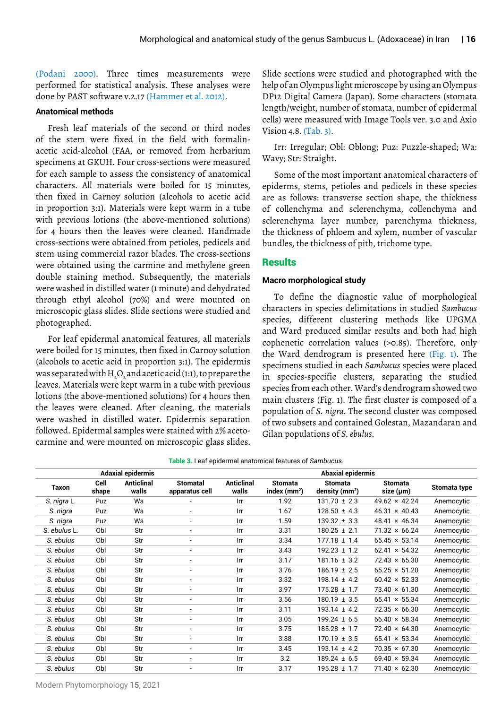(Podani 2000). Three times measurements were performed for statistical analysis. These analyses were done by PAST software v.2.17 (Hammer et al. 2012).

### **Anatomical methods**

Fresh leaf materials of the second or third nodes of the stem were fixed in the field with formalinacetic acid-alcohol (FAA, or removed from herbarium specimens at GKUH. Four cross-sections were measured for each sample to assess the consistency of anatomical characters. All materials were boiled for 15 minutes, then fixed in Carnoy solution (alcohols to acetic acid in proportion 3:1). Materials were kept warm in a tube with previous lotions (the above-mentioned solutions) for 4 hours then the leaves were cleaned. Handmade cross-sections were obtained from petioles, pedicels and stem using commercial razor blades. The cross-sections were obtained using the carmine and methylene green double staining method. Subsequently, the materials were washed in distilled water (1 minute) and dehydrated through ethyl alcohol (70%) and were mounted on microscopic glass slides. Slide sections were studied and photographed.

For leaf epidermal anatomical features, all materials were boiled for 15 minutes, then fixed in Carnoy solution (alcohols to acetic acid in proportion 3:1). The epidermis was separated with H<sub>2</sub>O<sub>2</sub> and acetic acid (1:1), to prepare the leaves. Materials were kept warm in a tube with previous lotions (the above-mentioned solutions) for 4 hours then the leaves were cleaned. After cleaning, the materials were washed in distilled water. Epidermis separation followed. Epidermal samples were stained with 2% acetocarmine and were mounted on microscopic glass slides.

Slide sections were studied and photographed with the help of an Olympus light microscope by using an Olympus DP12 Digital Camera (Japan). Some characters (stomata length/weight, number of stomata, number of epidermal cells) were measured with Image Tools ver. 3.0 and Axio Vision 4.8. (Tab. 3).

Irr: Irregular; Obl: Oblong; Puz: Puzzle-shaped; Wa: Wavy; Str: Straight.

Some of the most important anatomical characters of epiderms, stems, petioles and pedicels in these species are as follows: transverse section shape, the thickness of collenchyma and sclerenchyma, collenchyma and sclerenchyma layer number, parenchyma thickness, the thickness of phloem and xylem, number of vascular bundles, the thickness of pith, trichome type.

### **Results**

### **Macro morphological study**

To define the diagnostic value of morphological characters in species delimitations in studied *Sambucus* species, different clustering methods like UPGMA and Ward produced similar results and both had high cophenetic correlation values (>0.85). Therefore, only the Ward dendrogram is presented here (Fig. 1). The specimens studied in each *Sambucus* species were placed in species-specific clusters, separating the studied species from each other. Ward's dendrogram showed two main clusters (Fig. 1). The first cluster is composed of a population of *S. nigra*. The second cluster was composed of two subsets and contained Golestan, Mazandaran and Gilan populations of *S. ebulus*.

| Table 3. Leaf epidermal anatomical features of S <i>ambucus.</i> |               |                            |                                   |                            |                                 |                                    |                             |              |  |  |  |  |
|------------------------------------------------------------------|---------------|----------------------------|-----------------------------------|----------------------------|---------------------------------|------------------------------------|-----------------------------|--------------|--|--|--|--|
|                                                                  |               | <b>Adaxial epidermis</b>   |                                   | <b>Abaxial epidermis</b>   |                                 |                                    |                             |              |  |  |  |  |
| Taxon                                                            | Cell<br>shape | <b>Anticlinal</b><br>walls | <b>Stomatal</b><br>apparatus cell | <b>Anticlinal</b><br>walls | <b>Stomata</b><br>index $(mm2)$ | <b>Stomata</b><br>density $(mm^2)$ | <b>Stomata</b><br>size (µm) | Stomata type |  |  |  |  |
| S. nigra L.                                                      | Puz           | Wa                         | $\overline{\phantom{a}}$          | Irr                        | 1.92                            | $131.70 \pm 2.3$                   | $49.62 \times 42.24$        | Anemocytic   |  |  |  |  |
| S. nigra                                                         | Puz           | Wa                         | $\overline{\phantom{a}}$          | Irr                        | 1.67                            | $128.50 \pm 4.3$                   | $46.31 \times 40.43$        | Anemocytic   |  |  |  |  |
| S. nigra                                                         | Puz           | Wa                         | $\overline{\phantom{a}}$          | Irr                        | 1.59                            | $139.32 \pm 3.3$                   | $48.41 \times 46.34$        | Anemocytic   |  |  |  |  |
| S. ebulus L.                                                     | Obl           | Str                        | $\overline{\phantom{a}}$          | Irr                        | 3.31                            | $180.25 \pm 2.1$                   | $71.32 \times 66.24$        | Anemocytic   |  |  |  |  |
| S. ebulus                                                        | Obl           | Str                        | $\overline{\phantom{a}}$          | Irr                        | 3.34                            | $177.18 \pm 1.4$                   | $65.45 \times 53.14$        | Anemocytic   |  |  |  |  |
| S. ebulus                                                        | Obl           | Str                        | $\overline{\phantom{a}}$          | Irr                        | 3.43                            | $192.23 \pm 1.2$                   | $62.41 \times 54.32$        | Anemocytic   |  |  |  |  |
| S. ebulus                                                        | Obl           | Str                        | $\overline{\phantom{a}}$          | Irr                        | 3.17                            | $181.16 \pm 3.2$                   | $72.43 \times 65.30$        | Anemocytic   |  |  |  |  |
| S. ebulus                                                        | Obl           | Str                        | $\overline{\phantom{a}}$          | Irr                        | 3.76                            | $186.19 \pm 2.5$                   | $65.25 \times 51.20$        | Anemocytic   |  |  |  |  |
| S. ebulus                                                        | Obl           | Str                        | $\overline{\phantom{a}}$          | Irr                        | 3.32                            | $198.14 \pm 4.2$                   | $60.42 \times 52.33$        | Anemocytic   |  |  |  |  |
| S. ebulus                                                        | Obl           | Str                        | $\overline{\phantom{a}}$          | Irr                        | 3.97                            | $175.28 \pm 1.7$                   | $73.40 \times 61.30$        | Anemocytic   |  |  |  |  |
| S. ebulus                                                        | Obl           | Str                        | $\overline{\phantom{a}}$          | Irr                        | 3.56                            | $180.19 \pm 3.5$                   | $65.41 \times 55.34$        | Anemocytic   |  |  |  |  |
| S. ebulus                                                        | Obl           | Str                        | $\overline{\phantom{a}}$          | Irr                        | 3.11                            | $193.14 \pm 4.2$                   | $72.35 \times 66.30$        | Anemocytic   |  |  |  |  |
| S. ebulus                                                        | Obl           | Str                        | $\overline{\phantom{a}}$          | Irr                        | 3.05                            | $199.24 \pm 6.5$                   | $66.40 \times 58.34$        | Anemocytic   |  |  |  |  |
| S. ebulus                                                        | Obl           | Str                        | $\overline{\phantom{a}}$          | Irr                        | 3.75                            | $185.28 \pm 1.7$                   | $72.40 \times 64.30$        | Anemocytic   |  |  |  |  |
| S. ebulus                                                        | Obl           | Str                        | $\overline{\phantom{a}}$          | Irr                        | 3.88                            | $170.19 \pm 3.5$                   | $65.41 \times 53.34$        | Anemocytic   |  |  |  |  |
| S. ebulus                                                        | Obl           | Str                        | $\overline{\phantom{a}}$          | Irr                        | 3.45                            | $193.14 \pm 4.2$                   | $70.35 \times 67.30$        | Anemocytic   |  |  |  |  |
| S. ebulus                                                        | Obl           | Str                        | $\overline{\phantom{a}}$          | Irr                        | 3.2                             | $189.24 \pm 6.5$                   | $69.40 \times 59.34$        | Anemocytic   |  |  |  |  |
| S. ebulus                                                        | Obl           | Str                        | $\overline{\phantom{a}}$          | Irr                        | 3.17                            | $195.28 \pm 1.7$                   | $71.40 \times 62.30$        | Anemocytic   |  |  |  |  |

**Table 3.** Leaf epidermal anatomical features of *Sambucus*.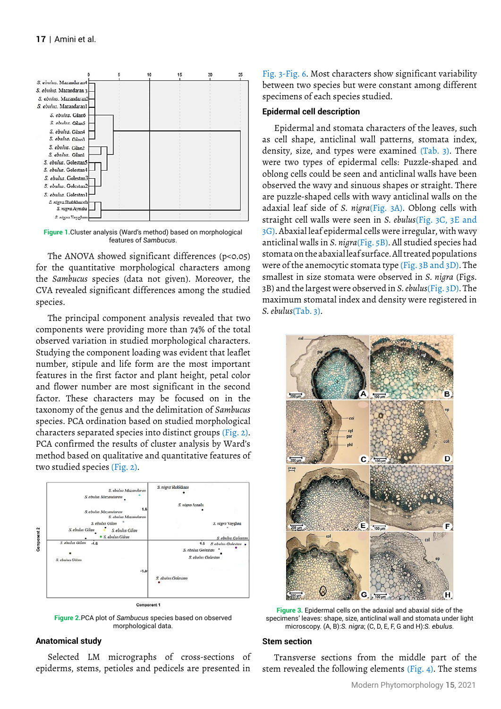

**Figure 1.**Cluster analysis (Ward's method) based on morphological features of *Sambucus*.

The ANOVA showed significant differences (p<0.05) for the quantitative morphological characters among the *Sambucus* species (data not given). Moreover, the CVA revealed significant differences among the studied species.

The principal component analysis revealed that two components were providing more than 74% of the total observed variation in studied morphological characters. Studying the component loading was evident that leaflet number, stipule and life form are the most important features in the first factor and plant height, petal color and flower number are most significant in the second factor. These characters may be focused on in the taxonomy of the genus and the delimitation of *Sambucus* species. PCA ordination based on studied morphological characters separated species into distinct groups (Fig. 2). PCA confirmed the results of cluster analysis by Ward's method based on qualitative and quantitative features of two studied species (Fig. 2).



**Figure 2.**PCA plot of *Sambucus* species based on observed morphological data.

### **Anatomical study**

Selected LM micrographs of cross-sections of epiderms, stems, petioles and pedicels are presented in

Fig. 3-Fig. 6. Most characters show significant variability between two species but were constant among different specimens of each species studied.

### **Epidermal cell description**

Epidermal and stomata characters of the leaves, such as cell shape, anticlinal wall patterns, stomata index, density, size, and types were examined (Tab. 3). There were two types of epidermal cells: Puzzle-shaped and oblong cells could be seen and anticlinal walls have been observed the wavy and sinuous shapes or straight. There are puzzle-shaped cells with wavy anticlinal walls on the adaxial leaf side of *S. nigra*(Fig. 3A). Oblong cells with straight cell walls were seen in *S. ebulus*(Fig. 3C, 3E and 3G). Abaxial leaf epidermal cells were irregular, with wavy anticlinal walls in *S. nigra*(Fig. 5B). All studied species had stomata on the abaxial leaf surface. All treated populations were of the anemocytic stomata type (Fig. 3B and 3D). The smallest in size stomata were observed in *S. nigra* (Figs. 3B) and the largest were observed in *S. ebulus*(Fig. 3D). The maximum stomatal index and density were registered in *S. ebulus*(Tab. 3).



**Figure 3.** Epidermal cells on the adaxial and abaxial side of the specimens' leaves: shape, size, anticlinal wall and stomata under light microscopy. (A, B):*S. nigra*; (C, D, E, F, G and H):*S. ebulus*.

#### **Stem section**

Transverse sections from the middle part of the stem revealed the following elements (Fig. 4). The stems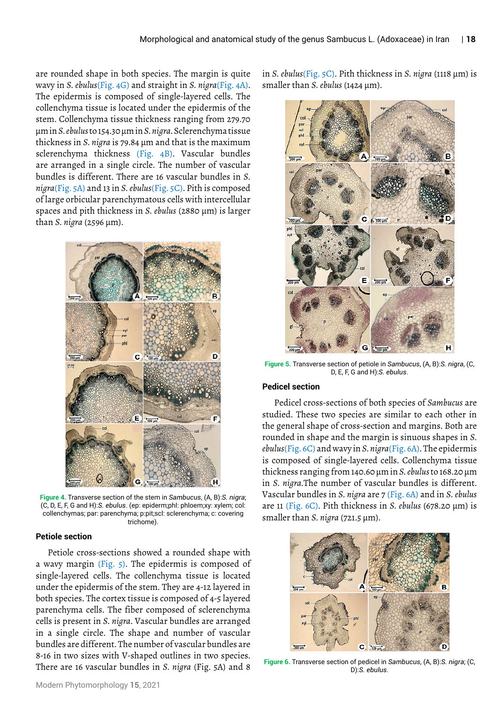are rounded shape in both species. The margin is quite wavy in *S. ebulus*(Fig. 4G) and straight in *S. nigra*(Fig. 4A). The epidermis is composed of single-layered cells. The collenchyma tissue is located under the epidermis of the stem. Collenchyma tissue thickness ranging from 279.70 μm in *S. ebulus* to 154.30 μm in *S. nigra*. Sclerenchyma tissue thickness in *S. nigra* is 79.84 μm and that is the maximum sclerenchyma thickness (Fig. 4B). Vascular bundles are arranged in a single circle. The number of vascular bundles is different. There are 16 vascular bundles in *S. nigra*(Fig. 5A) and 13 in *S. ebulus*(Fig. 5C). Pith is composed of large orbicular parenchymatous cells with intercellular spaces and pith thickness in *S. ebulus* (2880 μm) is larger than *S. nigra* (2596 μm).



**Figure 4.** Transverse section of the stem in *Sambucus*, (A, B):*S. nigra*; (C, D, E, F, G and H):*S. ebulus*. (ep: epiderm;phl: phloem;xy: xylem; col: collenchymas; par: parenchyma; p:pit;scl: sclerenchyma; c: covering trichome).

#### **Petiole section**

Petiole cross-sections showed a rounded shape with a wavy margin (Fig. 5). The epidermis is composed of single-layered cells. The collenchyma tissue is located under the epidermis of the stem. They are 4-12 layered in both species. The cortex tissue is composed of 4-5 layered parenchyma cells. The fiber composed of sclerenchyma cells is present in *S. nigra*. Vascular bundles are arranged in a single circle. The shape and number of vascular bundles are different. The number of vascular bundles are 8-16 in two sizes with V-shaped outlines in two species. There are 16 vascular bundles in *S. nigra* (Fig. 5A) and 8

in *S. ebulus*(Fig. 5C). Pith thickness in *S. nigra* (1118 μm) is smaller than *S. ebulus* (1424 μm).



**Figure 5.** Transverse section of petiole in *Sambucus*, (A, B):*S. nigra*, (C, D, E, F, G and H):*S. ebulus*.

### **Pedicel section**

Pedicel cross-sections of both species of *Sambucus* are studied. These two species are similar to each other in the general shape of cross-section and margins. Both are rounded in shape and the margin is sinuous shapes in *S. ebulus*(Fig. 6C) and wavy in *S. nigra*(Fig. 6A). The epidermis is composed of single-layered cells. Collenchyma tissue thickness ranging from 140.60 μm in *S. ebulus* to 168.20 μm in *S. nigra*.The number of vascular bundles is different. Vascular bundles in *S. nigra* are 7 (Fig. 6A) and in *S. ebulus* are 11 (Fig. 6C). Pith thickness in *S. ebulus* (678.20 μm) is smaller than *S. nigra* (721.5 μm).



**Figure 6.** Transverse section of pedicel in *Sambucus*, (A, B):*S. nigra*; (C, D):*S. ebulus*.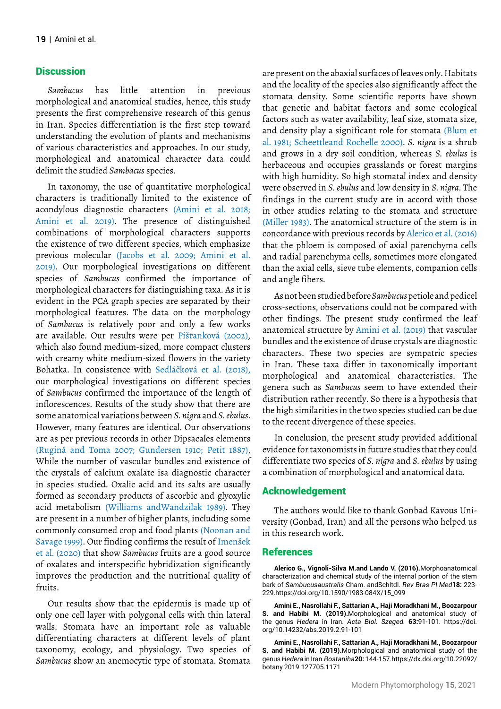## **Discussion**

*Sambucus* has little attention in previous morphological and anatomical studies, hence, this study presents the first comprehensive research of this genus in Iran. Species differentiation is the first step toward understanding the evolution of plants and mechanisms of various characteristics and approaches. In our study, morphological and anatomical character data could delimit the studied *Sambacus* species.

In taxonomy, the use of quantitative morphological characters is traditionally limited to the existence of acondylous diagnostic characters (Amini et al. 2018; Amini et al. 2019). The presence of distinguished combinations of morphological characters supports the existence of two different species, which emphasize previous molecular (Jacobs et al. 2009; Amini et al. 2019). Our morphological investigations on different species of *Sambucus* confirmed the importance of morphological characters for distinguishing taxa. As it is evident in the PCA graph species are separated by their morphological features. The data on the morphology of *Sambucus* is relatively poor and only a few works are available. Our results were per Pišťanková (2002), which also found medium-sized, more compact clusters with creamy white medium-sized flowers in the variety Bohatka. In consistence with Sedláčková et al. (2018), our morphological investigations on different species of *Sambucus* confirmed the importance of the length of inflorescences. Results of the study show that there are some anatomical variations between *S. nigra* and *S. ebulus*. However, many features are identical. Our observations are as per previous records in other Dipsacales elements (Rugină and Toma 2007; Gundersen 1910; Petit 1887), While the number of vascular bundles and existence of the crystals of calcium oxalate isa diagnostic character in species studied. Oxalic acid and its salts are usually formed as secondary products of ascorbic and glyoxylic acid metabolism (Williams andWandzilak 1989). They are present in a number of higher plants, including some commonly consumed crop and food plants (Noonan and Savage 1999). Our finding confirms the result of Imenšek et al. (2020) that show *Sambucus* fruits are a good source of oxalates and interspecific hybridization significantly improves the production and the nutritional quality of fruits.

Our results show that the epidermis is made up of only one cell layer with polygonal cells with thin lateral walls. Stomata have an important role as valuable differentiating characters at different levels of plant taxonomy, ecology, and physiology. Two species of *Sambucus* show an anemocytic type of stomata. Stomata

are present on the abaxial surfaces of leaves only. Habitats and the locality of the species also significantly affect the stomata density. Some scientific reports have shown that genetic and habitat factors and some ecological factors such as water availability, leaf size, stomata size, and density play a significant role for stomata (Blum et al. 1981; Scheettleand Rochelle 2000). *S. nigra* is a shrub and grows in a dry soil condition, whereas *S. ebulus* is herbaceous and occupies grasslands or forest margins with high humidity. So high stomatal index and density were observed in *S. ebulus* and low density in *S. nigra*. The findings in the current study are in accord with those in other studies relating to the stomata and structure (Miller 1983). The anatomical structure of the stem is in concordance with previous records by Alerico et al. (2016) that the phloem is composed of axial parenchyma cells and radial parenchyma cells, sometimes more elongated than the axial cells, sieve tube elements, companion cells and angle fibers.

As not been studied before *Sambucus* petiole and pedicel cross-sections, observations could not be compared with other findings. The present study confirmed the leaf anatomical structure by Amini et al. (2019) that vascular bundles and the existence of druse crystals are diagnostic characters. These two species are sympatric species in Iran. These taxa differ in taxonomically important morphological and anatomical characteristics. The genera such as *Sambucus* seem to have extended their distribution rather recently. So there is a hypothesis that the high similarities in the two species studied can be due to the recent divergence of these species.

In conclusion, the present study provided additional evidence for taxonomists in future studies that they could differentiate two species of *S. nigra* and *S. ebulus* by using a combination of morphological and anatomical data.

### Acknowledgement

The authors would like to thank Gonbad Kavous University (Gonbad, Iran) and all the persons who helped us in this research work.

### References

**Alerico G., Vignoli-Silva M.and Lando V. (2016).**Morphoanatomical characterization and chemical study of the internal portion of the stem bark of *Sambucusaustralis* Cham. andSchltdl. *Rev Bras Pl Med***18:** 223- 229.https://doi.org/10.1590/1983-084X/15\_099

**Amini E., Nasrollahi F., Sattarian A., Haji Moradkhani M., Boozarpour S. and Habibi M. (2019).**Morphological and anatomical study of the genus *Hedera* in Iran. *Acta Biol. Szeged.* **63:**91-101. https://doi. org/10.14232/abs.2019.2.91-101

**Amini E., Nasrollahi F., Sattarian A., Haji Moradkhani M., Boozarpour S. and Habibi M. (2019).**Morphological and anatomical study of the genus *Hedera* in Iran.*Rostaniha***20:** 144-157.https://dx.doi.org/10.22092/ botany.2019.127705.1171